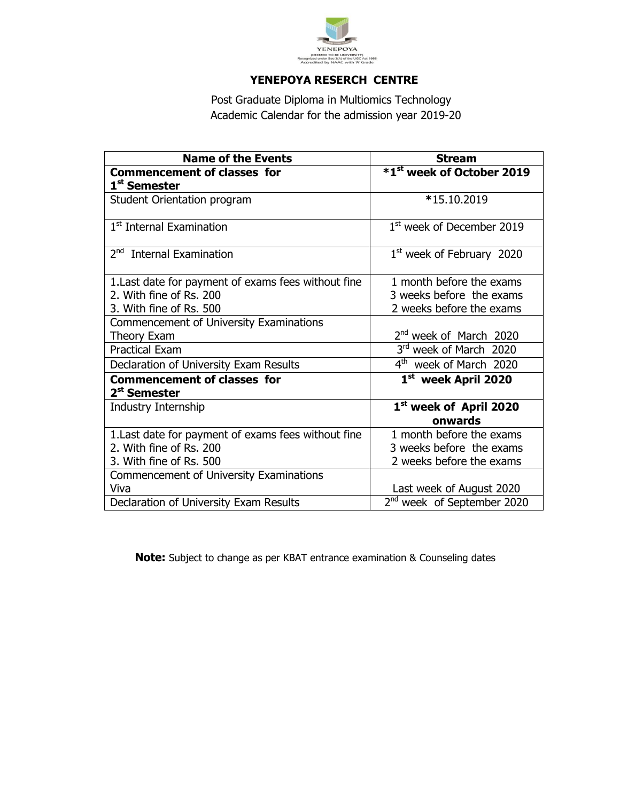

## **YENEPOYA RESERCH CENTRE**

Post Graduate Diploma in Multiomics Technology Academic Calendar for the admission year 2019-20

| <b>Name of the Events</b>                           | <b>Stream</b>                          |
|-----------------------------------------------------|----------------------------------------|
| <b>Commencement of classes for</b>                  | *1 <sup>st</sup> week of October 2019  |
| 1 <sup>st</sup> Semester                            |                                        |
| Student Orientation program                         | *15.10.2019                            |
| 1 <sup>st</sup> Internal Examination                | 1 <sup>st</sup> week of December 2019  |
| 2 <sup>nd</sup> Internal Examination                | $1st$ week of February 2020            |
| 1. Last date for payment of exams fees without fine | 1 month before the exams               |
| 2. With fine of Rs. 200                             | 3 weeks before the exams               |
| 3. With fine of Rs. 500                             | 2 weeks before the exams               |
| Commencement of University Examinations             |                                        |
| Theory Exam                                         | 2 <sup>nd</sup> week of March 2020     |
| <b>Practical Exam</b>                               | 3rd week of March 2020                 |
| Declaration of University Exam Results              | $4^{\text{th}}$<br>week of March 2020  |
| <b>Commencement of classes for</b>                  | 1st week April 2020                    |
| 2 <sup>st</sup> Semester                            |                                        |
| Industry Internship                                 | 1st week of April 2020                 |
|                                                     | onwards                                |
| 1. Last date for payment of exams fees without fine | 1 month before the exams               |
| 2. With fine of Rs. 200                             | 3 weeks before the exams               |
| 3. With fine of Rs. 500                             | 2 weeks before the exams               |
| Commencement of University Examinations             |                                        |
| Viva                                                | Last week of August 2020               |
| Declaration of University Exam Results              | 2 <sup>nd</sup> week of September 2020 |

 **Note:** Subject to change as per KBAT entrance examination & Counseling dates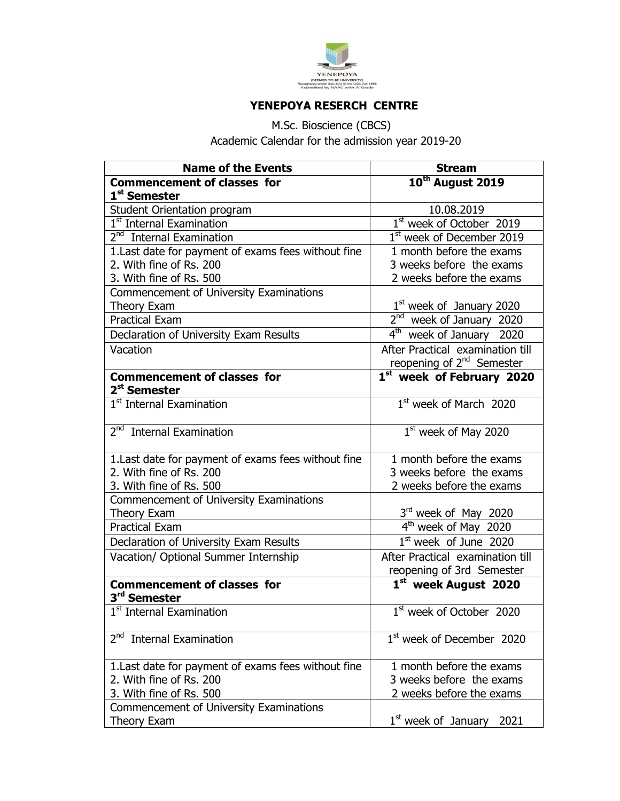

## **YENEPOYA RESERCH CENTRE**

M.Sc. Bioscience (CBCS) Academic Calendar for the admission year 2019-20

| <b>Name of the Events</b>                           | <b>Stream</b>                            |
|-----------------------------------------------------|------------------------------------------|
| <b>Commencement of classes for</b>                  | 10 <sup>th</sup> August 2019             |
| 1 <sup>st</sup> Semester                            |                                          |
| Student Orientation program                         | 10.08.2019                               |
| 1 <sup>st</sup> Internal Examination                | 1 <sup>st</sup> week of October 2019     |
| 2 <sup>nd</sup> Internal Examination                | 1 <sup>st</sup> week of December 2019    |
| 1. Last date for payment of exams fees without fine | 1 month before the exams                 |
| 2. With fine of Rs. 200                             | 3 weeks before the exams                 |
| 3. With fine of Rs. 500                             | 2 weeks before the exams                 |
| Commencement of University Examinations             |                                          |
| Theory Exam                                         | $1st$ week of January 2020               |
| <b>Practical Exam</b>                               | 2 <sup>nd</sup> week of January 2020     |
| Declaration of University Exam Results              | $\overline{4^{th}}$ week of January 2020 |
| Vacation                                            | After Practical examination till         |
|                                                     | reopening of 2 <sup>nd</sup> Semester    |
| <b>Commencement of classes for</b>                  | 1 <sup>st</sup> week of February 2020    |
| 2 <sup>st</sup> Semester                            |                                          |
| 1 <sup>st</sup> Internal Examination                | $1st$ week of March 2020                 |
|                                                     |                                          |
| 2 <sup>nd</sup> Internal Examination                | $\overline{1^{st}}$ week of May 2020     |
| 1. Last date for payment of exams fees without fine | $\overline{1}$ month before the exams    |
| 2. With fine of Rs. 200                             | 3 weeks before the exams                 |
| 3. With fine of Rs. 500                             | 2 weeks before the exams                 |
| Commencement of University Examinations             |                                          |
| <b>Theory Exam</b>                                  | 3rd week of May 2020                     |
| <b>Practical Exam</b>                               | $4th$ week of May 2020                   |
| Declaration of University Exam Results              | $1st$ week of June 2020                  |
| Vacation/ Optional Summer Internship                | After Practical examination till         |
|                                                     | reopening of 3rd Semester                |
| <b>Commencement of classes for</b><br>3rd Semester  | $1st$ week August 2020                   |
| 1 <sup>st</sup> Internal Examination                | 1 <sup>st</sup> week of October 2020     |
|                                                     |                                          |
| 2 <sup>nd</sup><br><b>Internal Examination</b>      | 1 <sup>st</sup> week of December 2020    |
| 1. Last date for payment of exams fees without fine | 1 month before the exams                 |
| 2. With fine of Rs. 200                             | 3 weeks before the exams                 |
| 3. With fine of Rs. 500                             | 2 weeks before the exams                 |
| Commencement of University Examinations             |                                          |
| Theory Exam                                         | 1 <sup>st</sup> week of January<br>2021  |